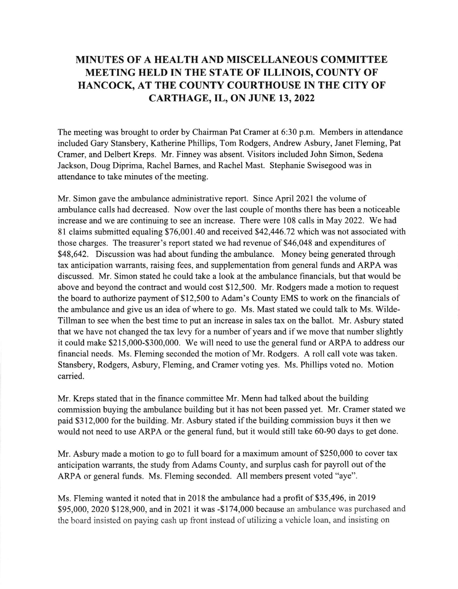## MINUTES OF A HEALTH AND MISCELLANEOUS COMMITTEE MEETING HELD IN THE STATE OF ILLINOIS, COUNTY OF HANCOCK, AT THE COUNTY COURTHOUSE IN THE CITY OF CARTHAGE, IL, ON JUNE 13, 2022

The meeting was brought to order by Chairman Pat Cramer at 6:30 p.m. Members in attendance included Gary Stansbery, Katherine Phillips, Tom Rodgers, Andrew Asbury, Janet Fleming, Pat Cramer, and Delbert Kreps. Mr. Finney was absent. Visitors included John Simon, Sedena Jackson, Doug Diprima, Rachel Barnes, and Rachel Mast. Stephanie Swisegood was in attendance to take minutes of the meeting.

Mr. Simon gave the ambulance administrative report. Since April2021 the volume of ambulance calls had decreased. Now over the last couple of months there has been a noticeable increase and we are continuing to see an increase. There were 108 calls in May 2022. We had 81 claims submitted equaling \$76,001.40 and received \$42,446.72 which was not associated with those charges. The treasurer's report stated we had revenue of \$46,048 and expenditures of \$48,642. Discussion was had about funding the ambulance. Money being generated through tax anticipation warrants, raising fees, and supplementation fiom general funds and ARPA was discussed. Mr. Simon stated he could take a look at the ambulance financials, but that would be above and beyond the contract and would cost \$12,500. Mr. Rodgers made a motion to request the board to authorize payment of \$12,500 to Adam's County EMS to work on the financials of the ambulance and give us an idea of where to go. Ms. Mast stated we could talk to Ms. Wilde-Tillman to see when the best time to put an increase in sales tax on the ballot. Mr. Asbury stated that we have not changed the tax levy for a number of years and if we move that number slightly it could make \$215,000-\$300,000. We will need to use the general fund or ARPA to address our financial needs. Ms. Fleming seconded the motion of Mr. Rodgers. A roll call vote was taken. Stansbery, Rodgers, Asbury, Fleming, and Cramer voting yes. Ms. Phillips voted no. Motion carried.

Mr. Kreps stated that in the finance committee Mr. Menn had talked about the building commission buying the ambulance building but it has not been passed yet. Mr. Cramer stated we paid \$312,000 for the building. Mr. Asbury stated if the building commission buys it then we would not need to use ARPA or the general fund, but it would still take 60-90 days to get done.

Mr. Asbury made a motion to go to full board for a maximum amount of \$250,000 to cover tax anticipation warrants, the study from Adams County, and surplus cash for payroll out of the ARPA or general funds. Ms. Fleming seconded. All members present voted "aye".

Ms. Fleming wanted it noted that in 2018 the ambulance had a profit of \$35,496, in 2019 \$95,000, 2020 \$128,900, and in 2021 it was -\$174,000 because an ambulance was purchased and the board insisted on paying cash up front instead of utilizing a vehicle loan, and insisting on